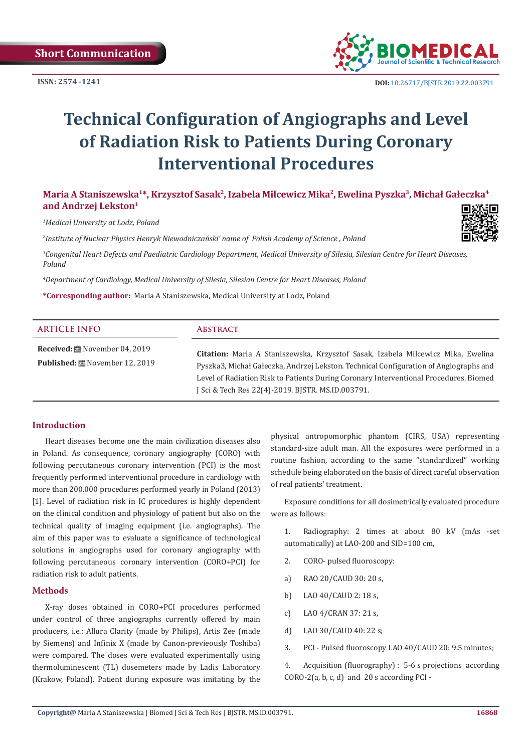

# **Technical Configuration of Angiographs and Level of Radiation Risk to Patients During Coronary Interventional Procedures**

# **Maria A Staniszewska<sup>1</sup>\*, Krzysztof Sasak<sup>2</sup>, Izabela Milcewicz Mika<sup>2</sup>, Ewelina Pyszka<sup>3</sup>, Michał Gałeczka<sup>4</sup> and Andrzej Lekston<sup>1</sup>**

*1 Medical University at Lodz, Poland*

*2 Institute of Nuclear Physics Henryk Niewodniczański' name of Polish Academy of Science , Poland*



*3 Congenital Heart Defects and Paediatric Cardiology Department, Medical University of Silesia, Silesian Centre for Heart Diseases, Poland*

*4 Department of Cardiology, Medical University of Silesia, Silesian Centre for Heart Diseases, Poland*

**\*Corresponding author:** Maria A Staniszewska, Medical University at Lodz, Poland

| <b>ARTICLE INFO</b>                                                       | <b>ABSTRACT</b>                                                                                                                                                                                                                                                                                                         |
|---------------------------------------------------------------------------|-------------------------------------------------------------------------------------------------------------------------------------------------------------------------------------------------------------------------------------------------------------------------------------------------------------------------|
| Received:  November 04, 2019<br><b>Published:</b> (All November 12, 2019) | Citation: Maria A Staniszewska, Krzysztof Sasak, Izabela Milcewicz Mika, Ewelina<br>Pyszka3, Michał Gałeczka, Andrzej Lekston. Technical Configuration of Angiographs and<br>Level of Radiation Risk to Patients During Coronary Interventional Procedures. Biomed<br>J Sci & Tech Res 22(4)-2019. BJSTR. MS.ID.003791. |

## **Introduction**

Heart diseases become one the main civilization diseases also in Poland. As consequence, coronary angiography (CORO) with following percutaneous coronary intervention (PCI) is the most frequently performed interventional procedure in cardiology with more than 200.000 procedures performed yearly in Poland (2013) [1]. Level of radiation risk in IC procedures is highly dependent on the clinical condition and physiology of patient but also on the technical quality of imaging equipment (i.e. angiographs). The aim of this paper was to evaluate a significance of technological solutions in angiographs used for coronary angiography with following percutaneous coronary intervention (CORO+PCI) for radiation risk to adult patients.

## **Methods**

X-ray doses obtained in CORO+PCI procedures performed under control of three angiographs currently offered by main producers, i.e.: Allura Clarity (made by Philips), Artis Zee (made by Siemens) and Infinix X (made by Canon-previeously Toshiba) were compared. The doses were evaluated experimentally using thermoluminescent (TL) dosemeters made by Ladis Laboratory (Krakow, Poland). Patient during exposure was imitating by the

physical antropomorphic phantom (CIRS, USA) representing standard-size adult man. All the exposures were performed in a routine fashion, according to the same "standardized" working schedule being elaborated on the basis of direct careful observation of real patients' treatment.

Exposure conditions for all dosimetrically evaluated procedure were as follows:

1. Radiography: 2 times at about 80 kV (mAs -set automatically) at LAO-200 and SID=100 cm,

- 2. CORO- pulsed fluoroscopy:
- a) RAO 20/CAUD 30: 20 s,
- b) LAO 40/CAUD 2: 18 s,
- c) LAO 4/CRAN 37: 21 s,
- d) LAO 30/CAUD 40: 22 s;
- 3. PCI Pulsed fluoroscopy LAO 40/CAUD 20: 9.5 minutes;

4. Acquisition (fluorography) : 5-6 s projections according  $CORO-2(a, b, c, d)$  and 20 s according PCI -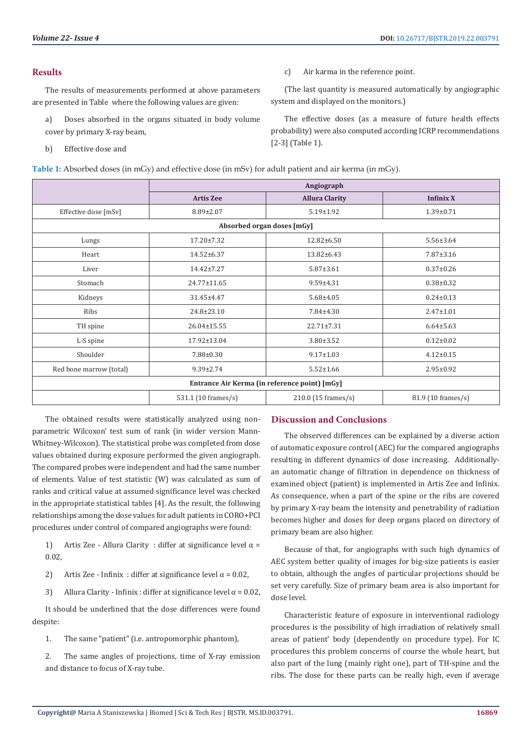## **Results**

The results of measurements performed at above parameters are presented in Table where the following values are given:

- a) Doses absorbed in the organs situated in body volume cover by primary X-ray beam,
- b) Effective dose and
- **Table 1:** Absorbed doses (in mGy) and effective dose (in mSv) for adult patient and air kerma (in mGy).
- **Angiograph Artis Zee Allura Clarity Infinix X**  Effective dose [mSv] 8.89±2.07 5.19±1.92 1.39±0.71 **Absorbed organ doses [mGy]** Lungs 17.20±7.32 12.82±6.50 5.56±3.64 Heart 14.52±6.37 13.82±6.43 7.87±3.16 Liver 14.42±7.27 5.87±3.61 0.37±0.26 Stomach 24.77±11.65 9.59±4.31 0.38±0.32 Kidneys (1.45±4.47 5.68±4.05 ) 31.45±4.47 5.58±4.05 Ribs 24.8±23.10 7.84±4.30 2.47±1.01 TH spine 26.04±15.55 22.71±7.31 6.64±5.63 L-S spine 17.92±13.04 3.80±3.52 0.12±0.02 Shoulder 7.88±0.30 9.17±1.03 4.12±0.15 Red bone marrow (total) 9.39±2.74 5.52±1.66 5.52±1.66 2.95±0.92 **Entrance Air Kerma (in reference point) [mGy]** 531.1 (10 frames/s) 210.0 (15 frames/s) 81.9 (10 frames/s)

The obtained results were statistically analyzed using nonparametric Wilcoxon' test sum of rank (in wider version Mann-Whitney-Wilcoxon). The statistical probe was completed from dose values obtained during exposure performed the given angiograph. The compared probes were independent and had the same number of elements. Value of test statistic (W) was calculated as sum of ranks and critical value at assumed significance level was checked in the appropriate statistical tables [4]. As the result, the following relationships among the dose values for adult patients in CORO+PCI procedures under control of compared angiographs were found:

1) Artis Zee - Allura Clarity : differ at significance level  $\alpha$  = 0.02,

2) Artis Zee - Infinix : differ at significance level  $\alpha = 0.02$ ,

3) Allura Clarity - Infinix : differ at significance level  $\alpha$  = 0.02,

It should be underlined that the dose differences were found despite:

1. The same "patient" (i.e. antropomorphic phantom),

2. The same angles of projections, time of X-ray emission and distance to focus of X-ray tube.

#### **Discussion and Conclusions**

c) Air karma in the reference point.

system and displayed on the monitors.)

[2-3] (Table 1).

(The last quantity is measured automatically by angiographic

The effective doses (as a measure of future health effects probability) were also computed according ICRP recommendations

The observed differences can be explained by a diverse action of automatic exposure control (AEC) for the compared angiographs resulting in different dynamics of dose increasing. Additionallyan automatic change of filtration in dependence on thickness of examined object (patient) is implemented in Artis Zee and Infinix. As consequence, when a part of the spine or the ribs are covered by primary X-ray beam the intensity and penetrability of radiation becomes higher and doses for deep organs placed on directory of primary beam are also higher.

Because of that, for angiographs with such high dynamics of AEC system better quality of images for big-size patients is easier to obtain, although the angles of particular projections should be set very carefully. Size of primary beam area is also important for dose level.

Characteristic feature of exposure in interventional radiology procedures is the possibility of high irradiation of relatively small areas of patient' body (dependently on procedure type). For IC procedures this problem concerns of course the whole heart, but also part of the lung (mainly right one), part of TH-spine and the ribs. The dose for these parts can be really high, even if average